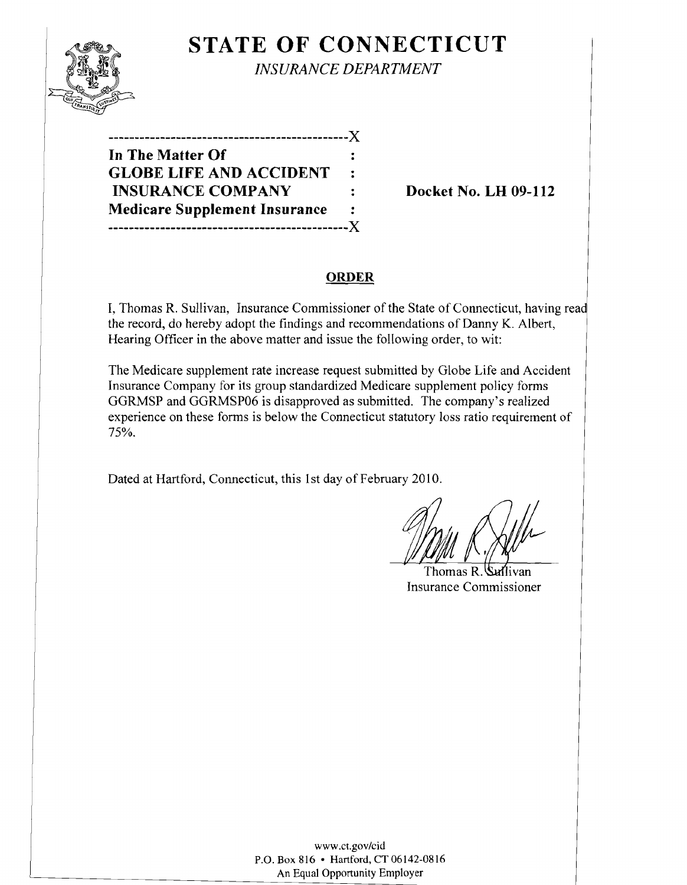

# **STATE OF CONNECTICUT** *INSURANCE DEPARTMENT*

**In The Matter Of GLOBE LIFE AND ACCIDENT INSURANCE COMPANY** : Docket No. LH 09-112 **Medicare Supplement Insurance ----------------------------------------------)(** 

**----------------------------------------------)(** 

## **ORDER**

I, Thomas R. Sullivan, Insurance Commissioner of the State of Connecticut, having the record, do hereby adopt the findings and recommendations of Danny K. Albert, Hearing Officer in the above matter and issue the following order, to wit:

The Medicare supplement rate increase request submitted by Globe Life and Accident Insurance Company for its group standardized Medicare supplement policy forms GGRMSP and GGRMSP06 is disapproved as submitted. The company's realized experience on these forms is below the Connecticut statutory loss ratio requirement of 75%.

Dated at Hartford, Connecticut, this 1st day of February 2010.

Thomas R. Suillivan Insurance Commissioner

www.ct.gov/cid P.O. Box 816 • Hartford, CT 06142-0816 An Equal Opportunity Employer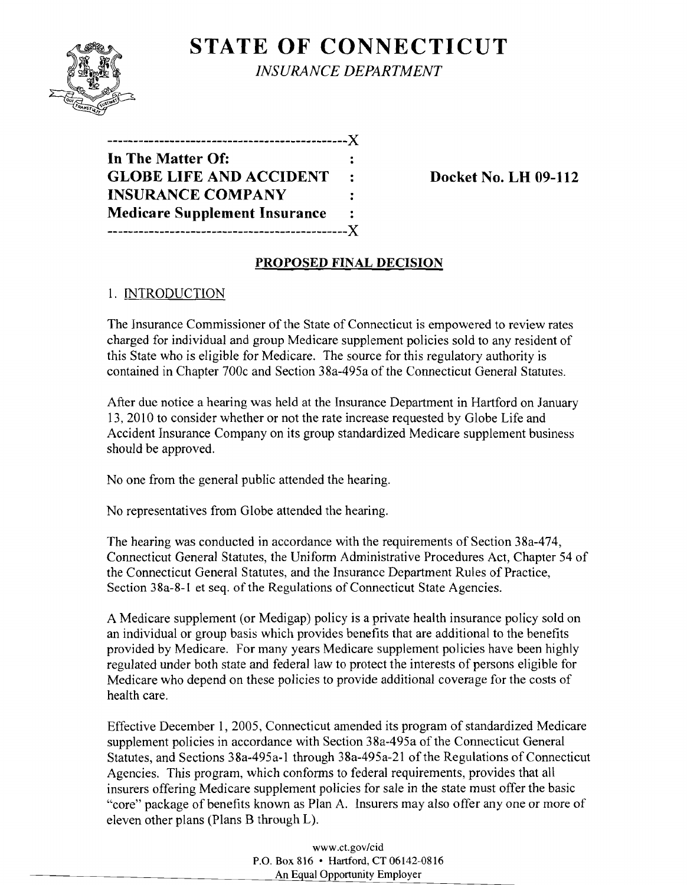

**STATE OF CONNECTICUT** *INSURANCE DEPARTMENT* 

**----------------------------------------------)( In The Matter Of: GLOBE LIFE AND ACCIDENT** : Docket No. LH 09-112 **INSURANCE COMPANY Medicare Supplement Insurance ----------------------------------------------)(** 

## **PROPOSED FINAL DECISION**

#### 1. INTRODUCTION

The Insurance Commissioner of the State of Connecticut is empowered to review rates charged for individual and group Medicare supplement policies sold to any resident of this State who is eligible for Medicare. The source for this regulatory authority is contained in Chapter 700c and Section 38a-495a of the Connecticut General Statutes.

After due notice a hearing was held at the Insurance Department in Hartford on January 13,2010 to consider whether or not the rate increase requested by Globe Life and Accident Insurance Company on its group standardized Medicare supplement business should be approved.

No one from the general public attended the hearing.

No representatives from Globe attended the hearing.

The hearing was conducted in accordance with the requirements of Section 38a-474, Connecticut General Statutes, the Uniform Administrative Procedures Act, Chapter 54 of the Connecticut General Statutes, and the Insurance Department Rules of Practice, Section 38a-8-1 et seq. of the Regulations of Connecticut State Agencies.

A Medicare supplement (or Medigap) policy is a private health insurance policy sold on an individual or group basis which provides benefits that are additional to the benefits provided by Medicare. For many years Medicare supplement policies have been highly regulated under both state and federal law to protect the interests of persons eligible for Medicare who depend on these policies to provide additional coverage for the costs of health care.

Effective December 1, 2005, Connecticut amended its program of standardized Medicare supplement policies in accordance with Section 38a-495a of the Connecticut General Statutes, and Sections 38a-495a-l through 38a-495a-21 of the Regulations of Connecticut Agencies. This program, which conforms to federal requirements, provides that all insurers offering Medicare supplement policies for sale in the state must offer the basic "core" package of benefits known as Plan A. Insurers may also offer anyone or more of eleven other plans (Plans B through L).

> www.ct.gov/cid P.O. Box 816 • Hartford, CT 06142-0816 An Equal Opportunity Employer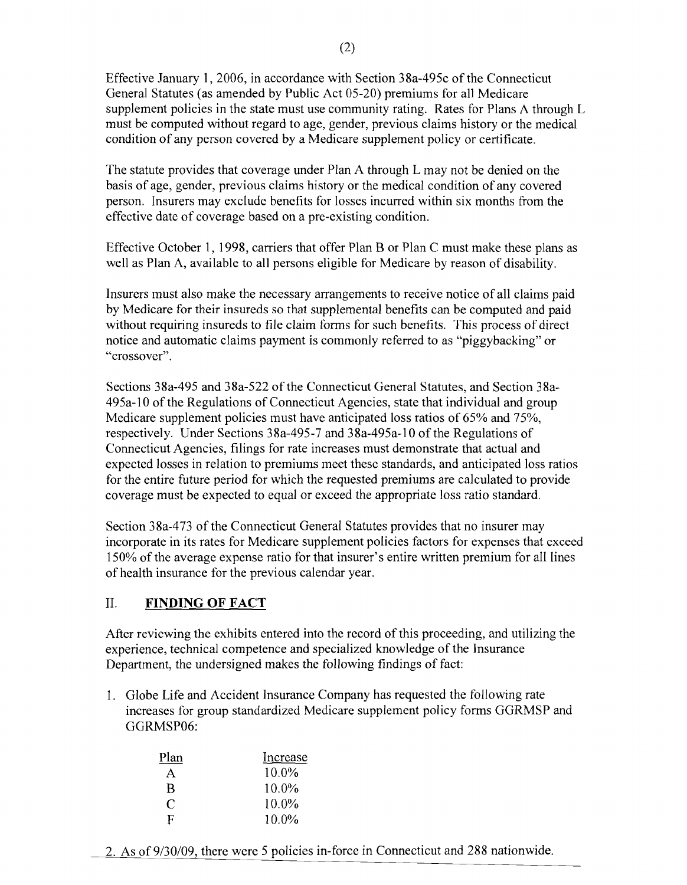Effective January 1,2006, in accordance with Section 38a-495c of the Connecticut General Statutes (as amended by Public Act 05-20) premiums for all Medicare supplement policies in the state must use community rating. Rates for Plans A through L must be computed without regard to age, gender, previous claims history or the medical condition of any person covered by a Medicare supplement policy or certificate.

The statute provides that coverage under Plan A through L may not be denied on the basis of age, gender, previous claims history or the medical condition of any covered person. Insurers may exclude benefits for losses incurred within six months from the effective date of coverage based on a pre-existing condition.

Effective October 1, 1998, carriers that offer Plan B or Plan C must make these plans as well as Plan A, available to all persons eligible for Medicare by reason of disability.

Insurers must also make the necessary arrangements to receive notice of all claims paid by Medicare for their insureds so that supplemental benefits can be computed and paid without requiring insureds to file claim forms for such benefits. This process of direct notice and automatic claims payment is commonly referred to as "piggybacking" or "crossover".

Sections 38a-495 and 38a-522 of the Connecticut General Statutes, and Section 38a-495a-l0 of the Regulations of Connecticut Agencies, state that individual and group Medicare supplement policies must have anticipated loss ratios of 65% and 75%, respectively. Under Sections 38a-495-7 and 38a-495a-10 of the Regulations of Connecticut Agencies, filings for rate increases must demonstrate that actual and expected losses in relation to premiums meet thesc standards, and anticipated loss ratios for the entire future period for which the requested premiums are calculated to provide coverage must be expected to equal or exceed the appropriate loss ratio standard.

Section 38a-473 of the Connecticut General Statutes provides that no insurer may incorporate in its rates for Medicare supplement policies factors for expenses that exceed 150% of the average expense ratio for that insurer's entire written premium for all lines of health insurance for the previous calendar year.

# II. **FINDING OF FACT**

After reviewing the exhibits entered into the record of this proceeding, and utilizing the experience, technical competence and specialized knowledge of the Insurance Department, the undersigned makes the following findings of fact:

1. Globe Life and Accident Insurance Company has requested the following rate increases for group standardized Medicare supplement policy forms GGRMSP and GGRMSP06:

| Plan | Increase |
|------|----------|
| A    | $10.0\%$ |
| B    | $10.0\%$ |
| C    | $10.0\%$ |
| F    | $10.0\%$ |